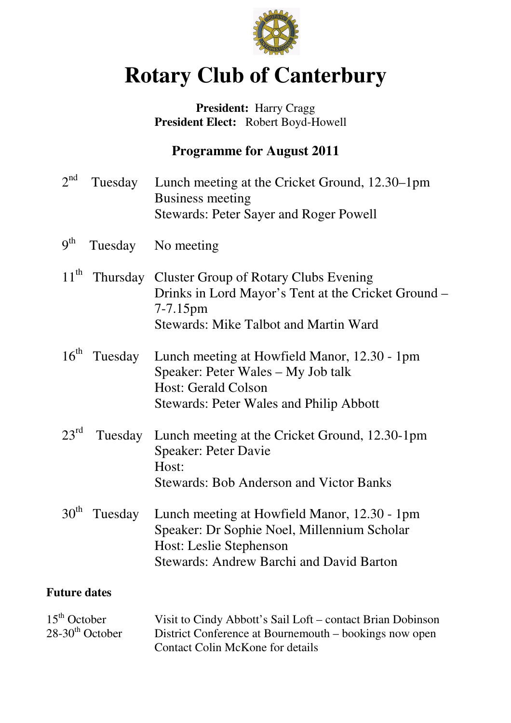

# **Rotary Club of Canterbury**

## President: Harry Cragg  **President Elect:** Robert Boyd-Howell

## **Programme for August 2011**

| $2^{nd}$                                        | Tuesday | Lunch meeting at the Cricket Ground, 12.30–1pm<br><b>Business meeting</b><br><b>Stewards: Peter Sayer and Roger Powell</b>                                                |
|-------------------------------------------------|---------|---------------------------------------------------------------------------------------------------------------------------------------------------------------------------|
| 9 <sup>th</sup>                                 |         | Tuesday No meeting                                                                                                                                                        |
| $11^{\text{th}}$                                |         | Thursday Cluster Group of Rotary Clubs Evening<br>Drinks in Lord Mayor's Tent at the Cricket Ground –<br>$7 - 7.15$ pm<br><b>Stewards: Mike Talbot and Martin Ward</b>    |
| $16^{\text{th}}$                                | Tuesday | Lunch meeting at Howfield Manor, 12.30 - 1pm<br>Speaker: Peter Wales – My Job talk<br><b>Host: Gerald Colson</b><br><b>Stewards: Peter Wales and Philip Abbott</b>        |
| $23^{\text{rd}}$                                | Tuesday | Lunch meeting at the Cricket Ground, 12.30-1pm<br><b>Speaker: Peter Davie</b><br>Host:<br><b>Stewards: Bob Anderson and Victor Banks</b>                                  |
| 30 <sup>th</sup>                                | Tuesday | Lunch meeting at Howfield Manor, 12.30 - 1pm<br>Speaker: Dr Sophie Noel, Millennium Scholar<br>Host: Leslie Stephenson<br><b>Stewards: Andrew Barchi and David Barton</b> |
| <b>Future dates</b>                             |         |                                                                                                                                                                           |
| $15th$ October<br>$28-30$ <sup>th</sup> October |         | Visit to Cindy Abbott's Sail Loft – contact Brian Dobinson<br>District Conference at Bournemouth – bookings now open<br><b>Contact Colin McKone for details</b>           |